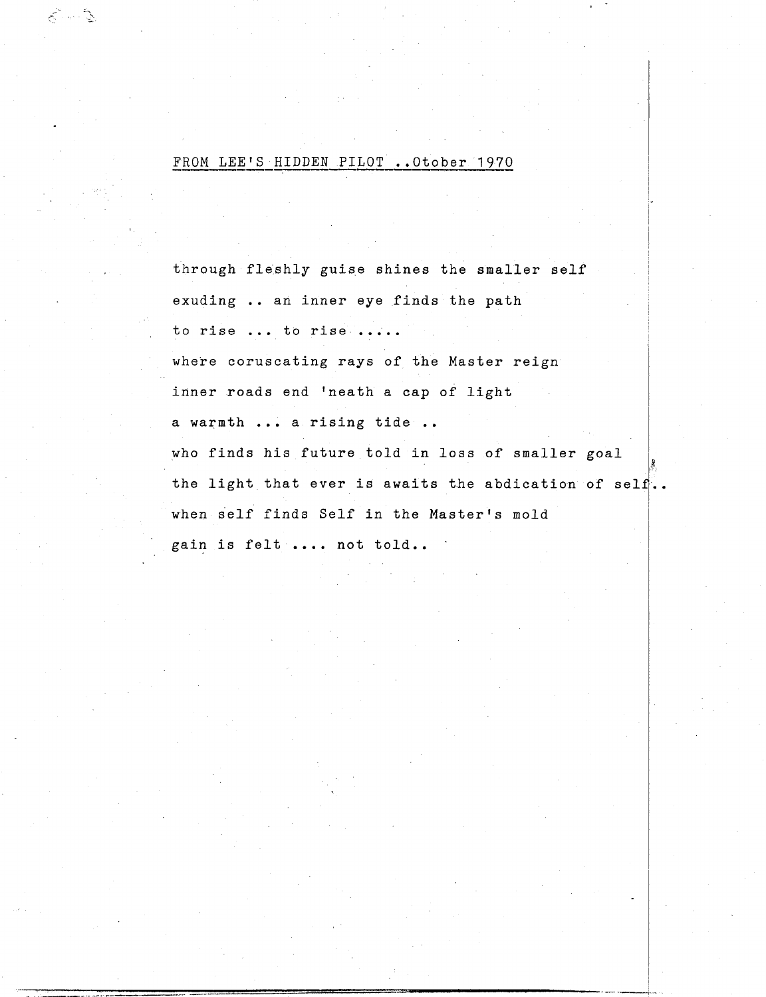## FROM LEE'S HIDDEN PILOT .. Otober 1970

8-13

through fleshly guise shines the smaller self exuding .. an inner eye finds the path to rise ... to rise ..... where coruscating rays of the Master reign inner roads end 'neath a cap of light a warmth ... a rising tide who finds his future told in loss of smaller goal the light that ever is awaits the abdication of self.. when self finds Self in the Master's mold gain is felt .... not told..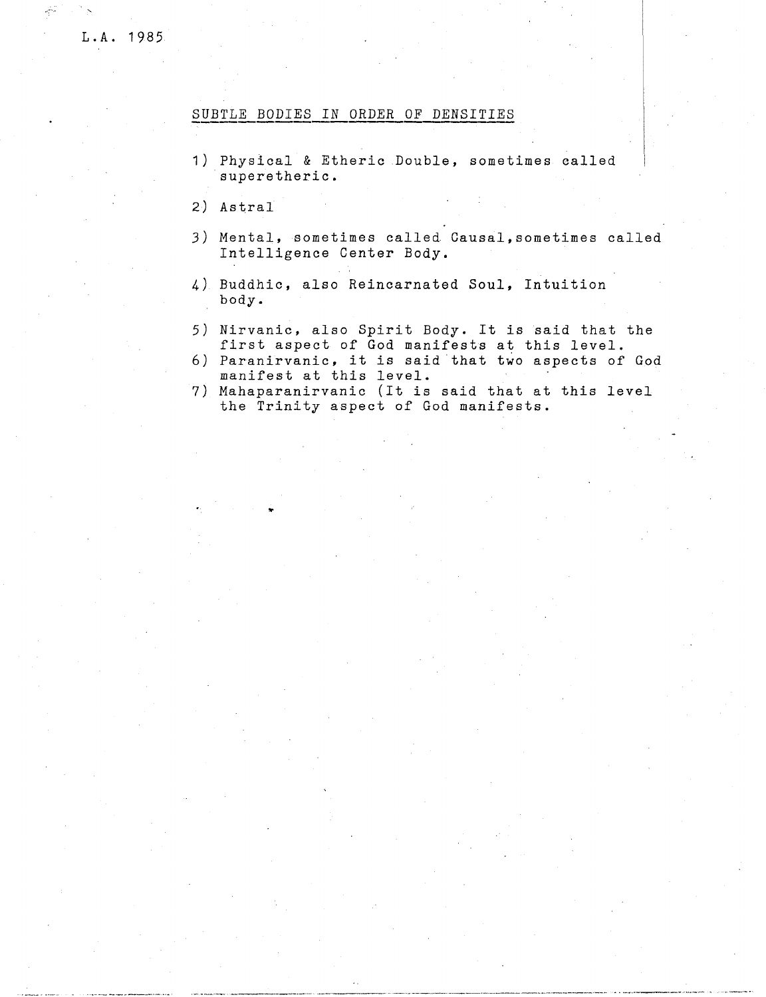## SUBTLE BODIES IN ORDER OF DENSITIES

- 1) Physical & Etheric Double, sometimes called superetheric.
- 2) Astral
- 3) Mental, sometimes called. Causal,sometimes called Intelligence Center Body.
- 4) Buddhic, also Reincarnated Soul, Intuition body.
- 5) Nirvanic, also Spirit Body. It is said that the first aspect of God manifests at this level.
- 6) Paranirvanic, it is said that two aspects of God manifest at this level. .
- 7) Mahaparanirvanic (It is said that at this level the Trinity aspect of God manifests.